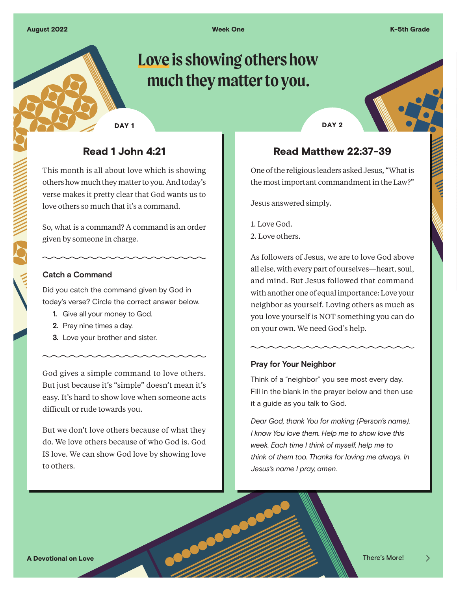Week One K-5th Grade

# DAY<sub>1</sub>

# **Love is showing others how much they matter to you.**

## Read 1 John 4:21

This month is all about love which is showing others how much they matter to you. And today's verse makes it pretty clear that God wants us to love others so much that it's a command.

So, what is a command? A command is an order given by someone in charge.

#### **Catch a Command**

Did you catch the command given by God in today's verse? Circle the correct answer below.

- **1.** Give all your money to God.
- **2.** Pray nine times a day.
- **3.** Love your brother and sister.

God gives a simple command to love others. But just because it's "simple" doesn't mean it's easy. It's hard to show love when someone acts difficult or rude towards you.

But we don't love others because of what they do. We love others because of who God is. God IS love. We can show God love by showing love to others.

DAY<sub>2</sub>

## Read Matthew 22:37-39

One of the religious leaders asked Jesus, "What is the most important commandment in the Law?"

Jesus answered simply.

1. Love God. 2. Love others.

As followers of Jesus, we are to love God above all else, with every part of ourselves—heart, soul, and mind. But Jesus followed that command with another one of equal importance: Love your neighbor as yourself. Loving others as much as you love yourself is NOT something you can do on your own. We need God's help.

### **Pray for Your Neighbor**

Think of a "neighbor" you see most every day. Fill in the blank in the prayer below and then use it a guide as you talk to God.

*Dear God, thank You for making (Person's name). I know You love them. Help me to show love this week. Each time I think of myself, help me to think of them too. Thanks for loving me always. In Jesus's name I pray, amen.*